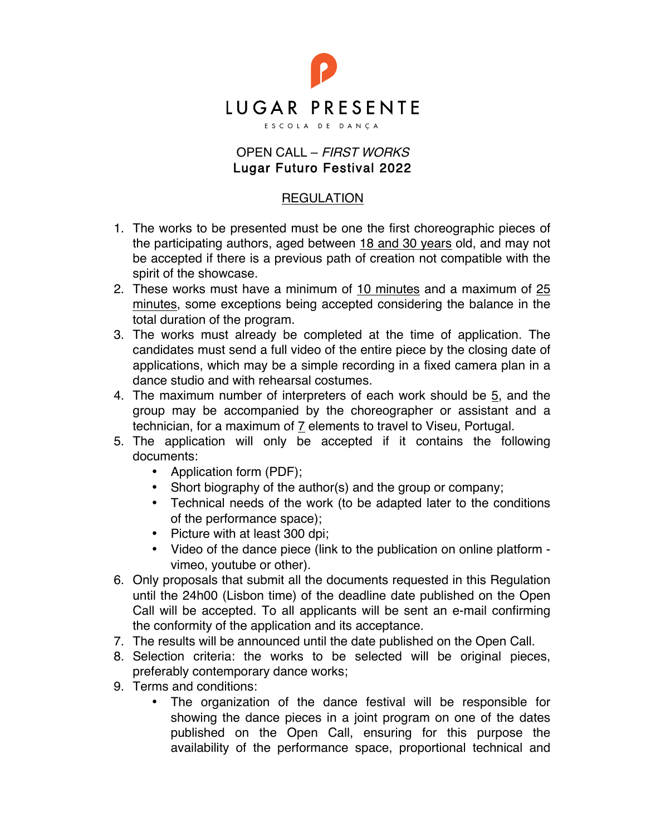

## OPEN CALL – FIRST WORKS Lugar Futuro Festival 2022

## REGULATION

- 1. The works to be presented must be one the first choreographic pieces of the participating authors, aged between 18 and 30 years old, and may not be accepted if there is a previous path of creation not compatible with the spirit of the showcase.
- 2. These works must have a minimum of 10 minutes and a maximum of 25 minutes, some exceptions being accepted considering the balance in the total duration of the program.
- 3. The works must already be completed at the time of application. The candidates must send a full video of the entire piece by the closing date of applications, which may be a simple recording in a fixed camera plan in a dance studio and with rehearsal costumes.
- 4. The maximum number of interpreters of each work should be 5, and the group may be accompanied by the choreographer or assistant and a technician, for a maximum of 7 elements to travel to Viseu, Portugal.
- 5. The application will only be accepted if it contains the following documents:
	- Application form (PDF);
	- Short biography of the author(s) and the group or company;
	- Technical needs of the work (to be adapted later to the conditions of the performance space);
	- Picture with at least 300 dpi;
	- Video of the dance piece (link to the publication on online platform vimeo, youtube or other).
- 6. Only proposals that submit all the documents requested in this Regulation until the 24h00 (Lisbon time) of the deadline date published on the Open Call will be accepted. To all applicants will be sent an e-mail confirming the conformity of the application and its acceptance.
- 7. The results will be announced until the date published on the Open Call.
- 8. Selection criteria: the works to be selected will be original pieces, preferably contemporary dance works;
- 9. Terms and conditions:
	- The organization of the dance festival will be responsible for showing the dance pieces in a joint program on one of the dates published on the Open Call, ensuring for this purpose the availability of the performance space, proportional technical and